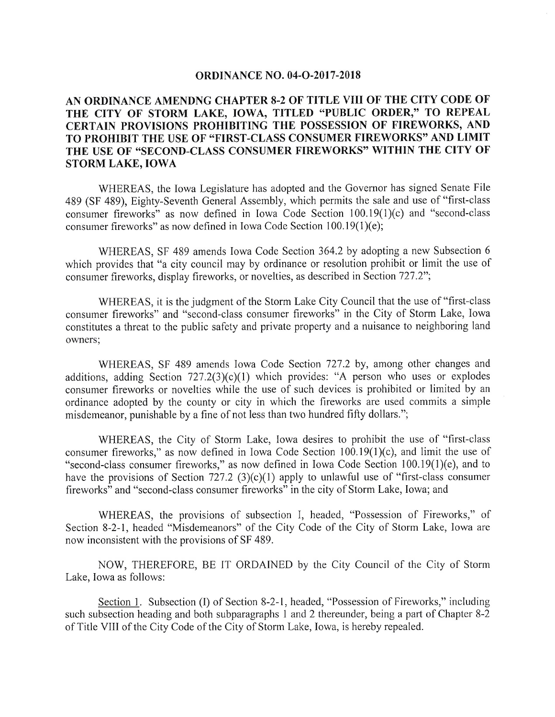## **ORDINANCE NO. 04-O-2017-2018**

## AN ORDINANCE AMENDNG CHAPTER 8-2 OF TITLE VIII OF THE CITY CODE OF THE CITY OF STORM LAKE, IOWA, TITLED "PUBLIC ORDER," TO REPEAL CERTAIN PROVISIONS PROHIBITING THE POSSESSION OF FIREWORKS, AND TO PROHIBIT THE USE OF "FIRST-CLASS CONSUMER FIREWORKS" AND LIMIT THE USE OF "SECOND-CLASS CONSUMER FIREWORKS" WITHIN THE CITY OF STORM LAKE, IOWA

WHEREAS, the Iowa Legislature has adopted and the Governor has signed Senate File 489 (SF 489), Eighty-Seventh General Assembly, which permits the sale and use of "first-class" consumer fireworks" as now defined in Iowa Code Section 100.19(1)(c) and "second-class consumer fireworks" as now defined in Iowa Code Section 100.19(1)(e);

WHEREAS, SF 489 amends Iowa Code Section 364.2 by adopting a new Subsection 6 which provides that "a city council may by ordinance or resolution prohibit or limit the use of consumer fireworks, display fireworks, or novelties, as described in Section 727.2";

WHEREAS, it is the judgment of the Storm Lake City Council that the use of "first-class" consumer fireworks" and "second-class consumer fireworks" in the City of Storm Lake, Iowa constitutes a threat to the public safety and private property and a nuisance to neighboring land owners;

WHEREAS, SF 489 amends Iowa Code Section 727.2 by, among other changes and additions, adding Section  $727.2(3)(c)(1)$  which provides: "A person who uses or explodes consumer fireworks or novelties while the use of such devices is prohibited or limited by an ordinance adopted by the county or city in which the fireworks are used commits a simple misdemeanor, punishable by a fine of not less than two hundred fifty dollars.";

WHEREAS, the City of Storm Lake, Iowa desires to prohibit the use of "first-class consumer fireworks," as now defined in Iowa Code Section  $100.19(1)(c)$ , and limit the use of "second-class consumer fireworks," as now defined in Iowa Code Section 100.19(1)(e), and to have the provisions of Section 727.2 (3)(c)(1) apply to unlawful use of "first-class consumer fireworks" and "second-class consumer fireworks" in the city of Storm Lake, Iowa; and

WHEREAS, the provisions of subsection I, headed, "Possession of Fireworks," of Section 8-2-1, headed "Misdemeanors" of the City Code of the City of Storm Lake, Iowa are now inconsistent with the provisions of SF 489.

NOW, THEREFORE, BE IT ORDAINED by the City Council of the City of Storm Lake, Iowa as follows:

Section 1. Subsection (I) of Section 8-2-1, headed, "Possession of Fireworks," including such subsection heading and both subparagraphs 1 and 2 thereunder, being a part of Chapter  $8\text{-}2$ of Title VIII of the City Code of the City of Storm Lake, Iowa, is hereby repealed.